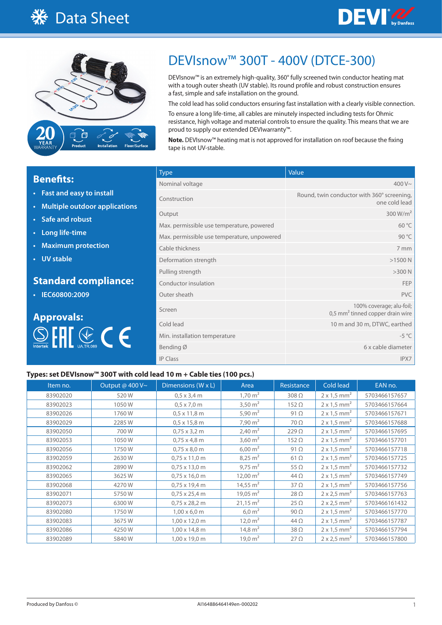



# DEVIsnow™ 300T - 400V (DTCE-300)

DEVIsnow<sup>™</sup> is an extremely high-quality, 360° fully screened twin conductor heating mat with a tough outer sheath (UV stable). Its round profile and robust construction ensures a fast, simple and safe installation on the ground.

The cold lead has solid conductors ensuring fast installation with a clearly visible connection. To ensure a long life-time, all cables are minutely inspected including tests for Ohmic resistance, high voltage and material controls to ensure the quality. This means that we are proud to supply our extended DEVIwarranty™.

**Note.** DEVIsnow™ heating mat is not approved for installation on roof because the fixing tape is not UV-stable.

## **Benefits:**

- **• Fast and easy to install**
- **• Multiple outdoor applications**
- **• Safe and robust**
- **• Long life-time**
- **• Maximum protection**
- **• UV stable**

## **Standard compliance:**

**• IEC60800:2009**



| <b>Type</b>                                 | Value                                                                    |
|---------------------------------------------|--------------------------------------------------------------------------|
| Nominal voltage                             | 400 $V \sim$                                                             |
| Construction                                | Round, twin conductor with 360° screening,<br>one cold lead              |
| Output                                      | 300 W/m <sup>2</sup>                                                     |
| Max. permissible use temperature, powered   | $60^{\circ}$ C                                                           |
| Max. permissible use temperature, unpowered | 90 °C                                                                    |
| Cable thickness                             | 7 mm                                                                     |
| Deformation strength                        | >1500 N                                                                  |
| Pulling strength                            | $>300$ N                                                                 |
| Conductor insulation                        | FEP                                                                      |
| Outer sheath                                | <b>PVC</b>                                                               |
| Screen                                      | 100% coverage; alu-foil;<br>0,5 mm <sup>2</sup> tinned copper drain wire |
| Cold lead                                   | 10 m and 30 m, DTWC, earthed                                             |
| Min. installation temperature               | $-5^{\circ}$ C                                                           |
| Bending Ø                                   | 6 x cable diameter                                                       |
| <b>IP Class</b>                             | IPX7                                                                     |

#### **Types: set DEVIsnow™ 300T with cold lead 10 m + Cable ties (100 pcs.)**

| Item no. | Output @ 400 V~ | Dimensions (W x L)             | Area                 | Resistance   | Cold lead                      | EAN no.       |
|----------|-----------------|--------------------------------|----------------------|--------------|--------------------------------|---------------|
| 83902020 | 520W            | $0.5 \times 3.4 \text{ m}$     | $1,70 \text{ m}^2$   | $308\Omega$  | $2 \times 1.5$ mm <sup>2</sup> | 5703466157657 |
| 83902023 | 1050W           | $0.5 \times 7.0 \text{ m}$     | $3,50 \text{ m}^2$   | $152 \Omega$ | $2 \times 1.5$ mm <sup>2</sup> | 5703466157664 |
| 83902026 | 1760W           | $0.5 \times 11.8 \text{ m}$    | 5,90 $m2$            | 91 $\Omega$  | $2 \times 1.5$ mm <sup>2</sup> | 5703466157671 |
| 83902029 | 2285W           | $0.5 \times 15.8$ m            | $7,90 \text{ m}^2$   | $70\Omega$   | $2 \times 1.5$ mm <sup>2</sup> | 5703466157688 |
| 83902050 | 700W            | $0,75 \times 3,2 \text{ m}$    | 2,40 $m2$            | $229\Omega$  | $2 \times 1.5$ mm <sup>2</sup> | 5703466157695 |
| 83902053 | 1050W           | $0,75 \times 4,8 \text{ m}$    | 3,60 $m2$            | $152 \Omega$ | $2 \times 1.5$ mm <sup>2</sup> | 5703466157701 |
| 83902056 | 1750W           | $0,75 \times 8,0 \, \text{m}$  | $6,00 \text{ m}^2$   | $91 \Omega$  | $2 \times 1.5$ mm <sup>2</sup> | 5703466157718 |
| 83902059 | 2630W           | $0.75 \times 11.0 \text{ m}$   | $8,25 \text{ m}^2$   | $61 \Omega$  | $2 \times 1.5$ mm <sup>2</sup> | 5703466157725 |
| 83902062 | 2890W           | $0.75 \times 13.0 \text{ m}$   | 9,75 $m2$            | 55 $\Omega$  | $2 \times 1.5$ mm <sup>2</sup> | 5703466157732 |
| 83902065 | 3625W           | $0.75 \times 16.0 \text{ m}$   | 12,00 $m2$           | $44\Omega$   | $2 \times 1.5$ mm <sup>2</sup> | 5703466157749 |
| 83902068 | 4270W           | $0,75 \times 19,4 \text{ m}$   | 14,55 m <sup>2</sup> | $37\Omega$   | $2 \times 1.5$ mm <sup>2</sup> | 5703466157756 |
| 83902071 | 5750W           | $0,75 \times 25,4 \text{ m}$   | 19,05 $m2$           | $28 \Omega$  | $2 \times 2.5$ mm <sup>2</sup> | 5703466157763 |
| 83902073 | 6300W           | $0,75 \times 28,2 \, \text{m}$ | $21,15 \text{ m}^2$  | $25 \Omega$  | $2 \times 2.5$ mm <sup>2</sup> | 5703466161432 |
| 83902080 | 1750W           | $1,00 \times 6,0 \text{ m}$    | 6.0 m <sup>2</sup>   | $90\,\Omega$ | $2 \times 1.5$ mm <sup>2</sup> | 5703466157770 |
| 83902083 | 3675W           | $1,00 \times 12,0 \text{ m}$   | $12,0 \text{ m}^2$   | $44\Omega$   | $2 \times 1.5$ mm <sup>2</sup> | 5703466157787 |
| 83902086 | 4250W           | $1,00 \times 14,8 \text{ m}$   | 14,8 $m2$            | $38\Omega$   | $2 \times 1.5$ mm <sup>2</sup> | 5703466157794 |
| 83902089 | 5840W           | $1,00 \times 19,0 \text{ m}$   | 19,0 $m2$            | $27 \Omega$  | $2 \times 2.5$ mm <sup>2</sup> | 5703466157800 |